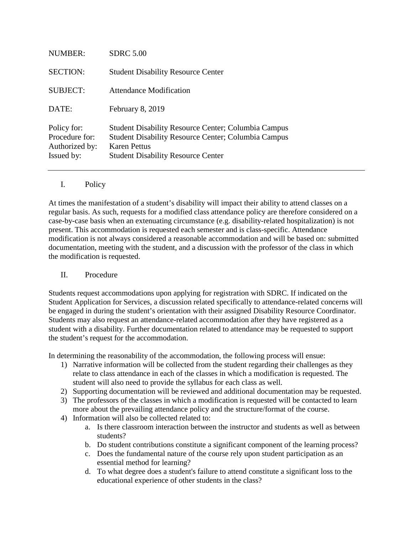| <b>NUMBER:</b>                                                | <b>SDRC 5.00</b>                                                                                                                                                                             |
|---------------------------------------------------------------|----------------------------------------------------------------------------------------------------------------------------------------------------------------------------------------------|
| <b>SECTION:</b>                                               | <b>Student Disability Resource Center</b>                                                                                                                                                    |
| <b>SUBJECT:</b>                                               | Attendance Modification                                                                                                                                                                      |
| DATE:                                                         | February 8, 2019                                                                                                                                                                             |
| Policy for:<br>Procedure for:<br>Authorized by:<br>Issued by: | <b>Student Disability Resource Center; Columbia Campus</b><br><b>Student Disability Resource Center; Columbia Campus</b><br><b>Karen Pettus</b><br><b>Student Disability Resource Center</b> |

## I. Policy

At times the manifestation of a student's disability will impact their ability to attend classes on a regular basis. As such, requests for a modified class attendance policy are therefore considered on a case-by-case basis when an extenuating circumstance (e.g. disability-related hospitalization) is not present. This accommodation is requested each semester and is class-specific. Attendance modification is not always considered a reasonable accommodation and will be based on: submitted documentation, meeting with the student, and a discussion with the professor of the class in which the modification is requested.

## II. Procedure

Students request accommodations upon applying for registration with SDRC. If indicated on the Student Application for Services, a discussion related specifically to attendance-related concerns will be engaged in during the student's orientation with their assigned Disability Resource Coordinator. Students may also request an attendance-related accommodation after they have registered as a student with a disability. Further documentation related to attendance may be requested to support the student's request for the accommodation.

In determining the reasonability of the accommodation, the following process will ensue:

- 1) Narrative information will be collected from the student regarding their challenges as they relate to class attendance in each of the classes in which a modification is requested. The student will also need to provide the syllabus for each class as well.
- 2) Supporting documentation will be reviewed and additional documentation may be requested.
- 3) The professors of the classes in which a modification is requested will be contacted to learn more about the prevailing attendance policy and the structure/format of the course.
- 4) Information will also be collected related to:
	- a. Is there classroom interaction between the instructor and students as well as between students?
	- b. Do student contributions constitute a significant component of the learning process?
	- c. Does the fundamental nature of the course rely upon student participation as an essential method for learning?
	- d. To what degree does a student's failure to attend constitute a significant loss to the educational experience of other students in the class?